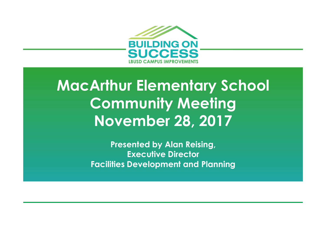

### MacArthur Elementary School Community Meeting November 28, 2017

Presented by Alan Reising, Executive Director Facilities Development and Planning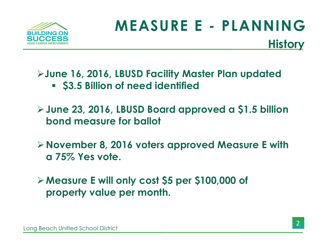

### MEASURE E - PLANNING MEASURE E - PLANNING<br>
JUNE 23, 2016, LBUSD Facility Master Plan updated<br>
- \$3.5 Billion of need identified<br>
-> June 23, 2016, LBUSD Board approved a \$1.5 billion<br>
bond measure for ballot **History**

### June 16, 2016, LBUSD Facility Master Plan updated **53.5 Billion of need identified**

bond measure for ballot

 $\triangleright$  November 8, 2016 voters approved Measure E with a 75% Yes vote.

Measure E will only cost \$5 per \$100,000 of property value per month.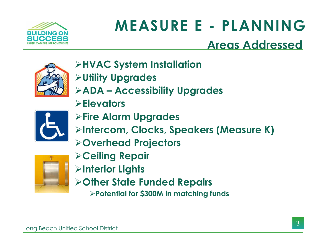

## MEASURE E - PLANNING<br>Areas Addressed MEASURE E - PLANNI<br>Areas Addre<br>Areas Addre<br>ADA – Accessibility Upgrades<br>ADA – Accessibility Upgrades<br>ADA – Accessibility Upgrades<br>Elevators

### Areas Addressed



- HVAC System Installation
- Utility Upgrades
- 



- **Elevators**
- $\triangleright$  Fire Alarm Upgrades
- Intercom, Clocks, Speakers (Measure K)
- Overhead Projectors



- Ceiling Repair
- **>Interior Lights**
- Other State Funded Repairs
	- Potential for \$300M in matching funds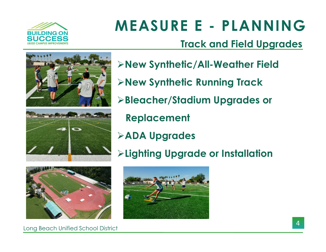

# MEASURE E - PLANNING<br>Track and Field Upgrades

### Track and Field Upgrades



- New Synthetic/All-Weather Field
- **EXA:** Fig. 2 PNew Synthetic Running Track
- Bleacher/Stadium Upgrades or
	- Replacement
- ADA Upgrades
- Lighting Upgrade or Installation





Long Beach Unified School District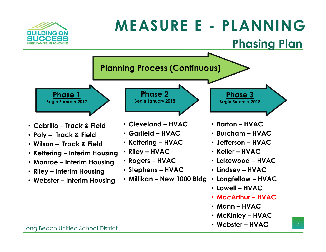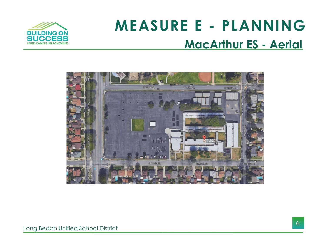### MEASURE E - PLANNING<br>MacArthur ES - Aerial MacArthur ES - Aerial



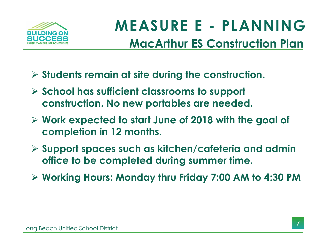

### MEASURE E - PLANNING<br>MacArthur ES Construction Plan MacArthur ES Construction Plan

- $\triangleright$  Students remain at site during the construction.
- $\triangleright$  School has sufficient classrooms to support construction. No new portables are needed.
- $\triangleright$  Work expected to start June of 2018 with the goal of completion in 12 months.
- $\triangleright$  Support spaces such as kitchen/cafeteria and admin office to be completed during summer time.
- Working Hours: Monday thru Friday 7:00 AM to 4:30 PM

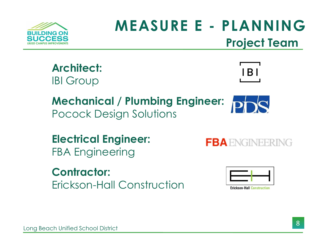

### MEASURE E - PLANNING Project Team

Architect: IBI Group



Mechanical / Plumbing Engineer: Pocock Design Solutions

Electrical Engineer: FBA Engineering

Contractor: Erickson-Hall Construction **FBA** ENGINEERING



**Erickson-Hall Construction**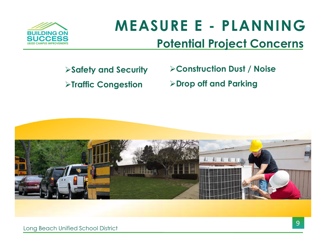

### MEASURE E - PLANNING<br>Potential Project Concerns Potential Project Concerns

### Safety and Security >Traffic Congestion

Construction Dust / Noise

Drop off and Parking